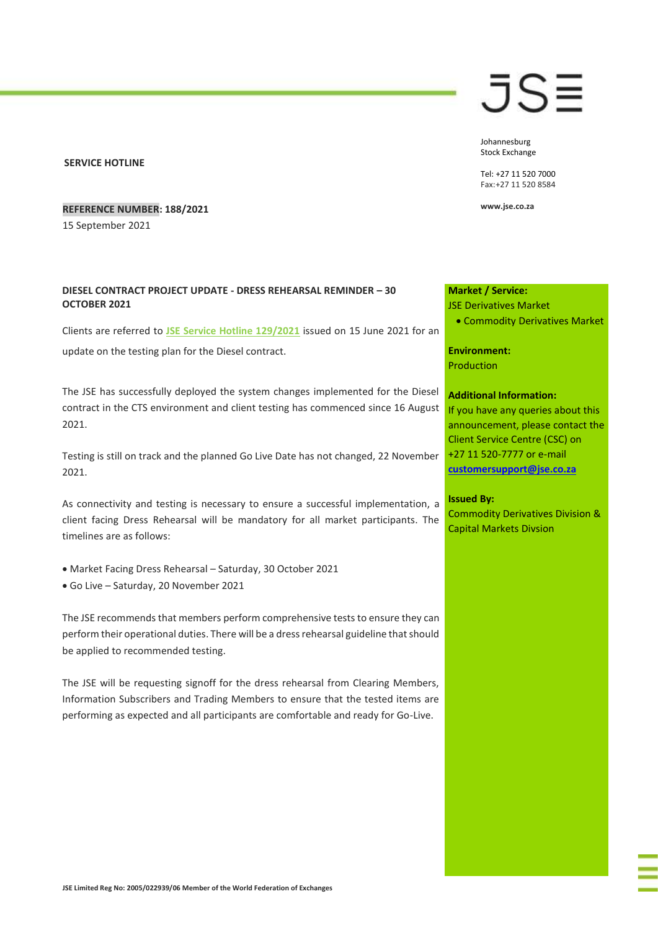#### **SERVICE HOTLINE**

### **REFERENCE NUMBER: 188/2021**

15 September 2021

## **DIESEL CONTRACT PROJECT UPDATE - DRESS REHEARSAL REMINDER – 30 OCTOBER 2021**

Clients are referred to **[JSE Service Hotline 129/2021](https://clientportal.jse.co.za/Content/JSEHotlinesItems/JSE%20Service%20Hotline%2012921%20CDM%20-%20Diesel%20Contract%20Project%20Update%20and%20Provision%20of%20Service%20Documentation.pdf)** issued on 15 June 2021 for an update on the testing plan for the Diesel contract.

The JSE has successfully deployed the system changes implemented for the Diesel contract in the CTS environment and client testing has commenced since 16 August 2021.

Testing is still on track and the planned Go Live Date has not changed, 22 November 2021.

As connectivity and testing is necessary to ensure a successful implementation, a client facing Dress Rehearsal will be mandatory for all market participants. The timelines are as follows:

- Market Facing Dress Rehearsal Saturday, 30 October 2021
- Go Live Saturday, 20 November 2021

The JSE recommends that members perform comprehensive tests to ensure they can perform their operational duties. There will be a dress rehearsal guideline that should be applied to recommended testing.

The JSE will be requesting signoff for the dress rehearsal from Clearing Members, Information Subscribers and Trading Members to ensure that the tested items are performing as expected and all participants are comfortable and ready for Go-Live.

# JS≣

Johannesburg Stock Exchange

Tel: +27 11 520 7000 Fax:+27 11 520 8584

**www.jse.co.za**

# **Market / Service:**

## JSE Derivatives Market

• Commodity Derivatives Market

**Environment:** Production

#### **Additional Information:**

If you have any queries about this announcement, please contact the Client Service Centre (CSC) on +27 11 520-7777 or e-mail **[customersupport@jse.co.za](mailto:customersupport@jse.co.za)**

#### **Issued By:**

Commodity Derivatives Division & Capital Markets Divsion